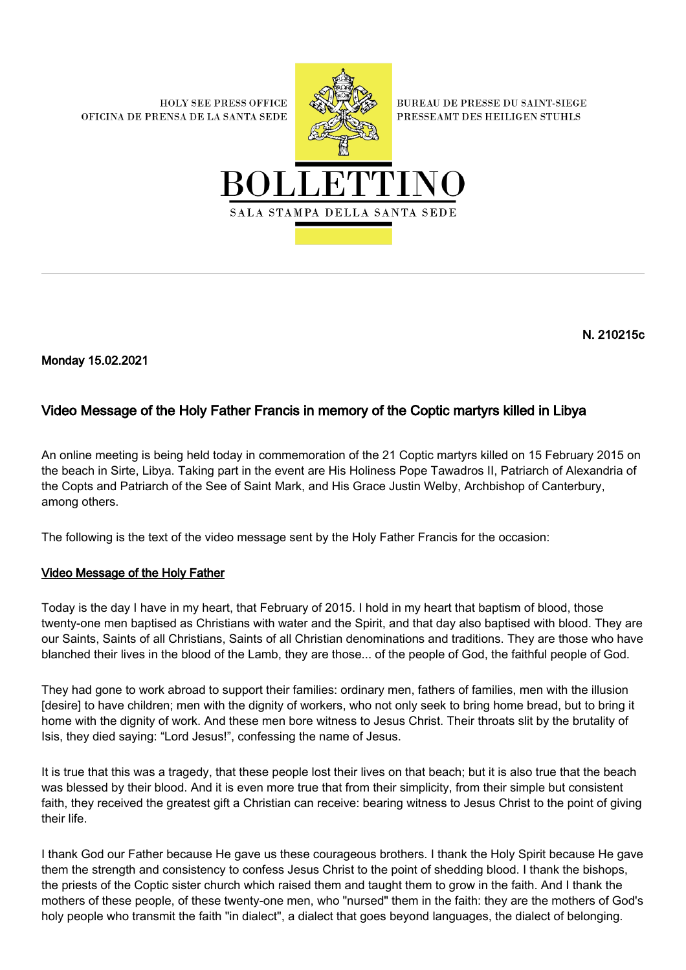**HOLY SEE PRESS OFFICE** OFICINA DE PRENSA DE LA SANTA SEDE



**BUREAU DE PRESSE DU SAINT-SIEGE** PRESSEAMT DES HEILIGEN STUHLS



N. 210215c

Monday 15.02.2021

## Video Message of the Holy Father Francis in memory of the Coptic martyrs killed in Libya

An online meeting is being held today in commemoration of the 21 Coptic martyrs killed on 15 February 2015 on the beach in Sirte, Libya. Taking part in the event are His Holiness Pope Tawadros II, Patriarch of Alexandria of the Copts and Patriarch of the See of Saint Mark, and His Grace Justin Welby, Archbishop of Canterbury, among others.

The following is the text of the video message sent by the Holy Father Francis for the occasion:

## Video Message of the Holy Father

Today is the day I have in my heart, that February of 2015. I hold in my heart that baptism of blood, those twenty-one men baptised as Christians with water and the Spirit, and that day also baptised with blood. They are our Saints, Saints of all Christians, Saints of all Christian denominations and traditions. They are those who have blanched their lives in the blood of the Lamb, they are those... of the people of God, the faithful people of God.

They had gone to work abroad to support their families: ordinary men, fathers of families, men with the illusion [desire] to have children; men with the dignity of workers, who not only seek to bring home bread, but to bring it home with the dignity of work. And these men bore witness to Jesus Christ. Their throats slit by the brutality of Isis, they died saying: "Lord Jesus!", confessing the name of Jesus.

It is true that this was a tragedy, that these people lost their lives on that beach; but it is also true that the beach was blessed by their blood. And it is even more true that from their simplicity, from their simple but consistent faith, they received the greatest gift a Christian can receive: bearing witness to Jesus Christ to the point of giving their life.

I thank God our Father because He gave us these courageous brothers. I thank the Holy Spirit because He gave them the strength and consistency to confess Jesus Christ to the point of shedding blood. I thank the bishops, the priests of the Coptic sister church which raised them and taught them to grow in the faith. And I thank the mothers of these people, of these twenty-one men, who "nursed" them in the faith: they are the mothers of God's holy people who transmit the faith "in dialect", a dialect that goes beyond languages, the dialect of belonging.